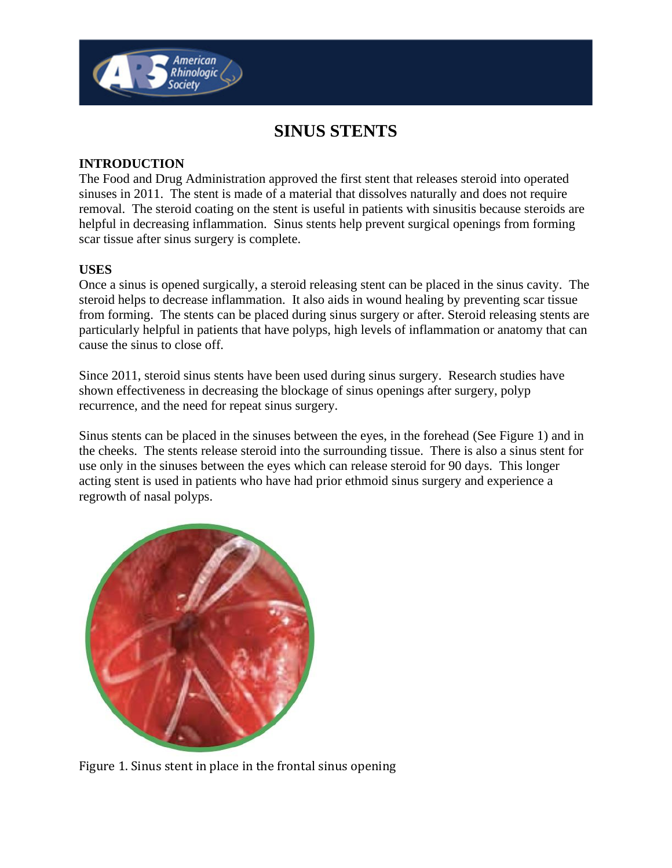

# **SINUS STENTS**

## **INTRODUCTION**

The Food and Drug Administration approved the first stent that releases steroid into operated sinuses in 2011. The stent is made of a material that dissolves naturally and does not require removal. The steroid coating on the stent is useful in patients with sinusitis because steroids are helpful in decreasing inflammation. Sinus stents help prevent surgical openings from forming scar tissue after sinus surgery is complete.

## **USES**

Once a sinus is opened surgically, a steroid releasing stent can be placed in the sinus cavity. The steroid helps to decrease inflammation. It also aids in wound healing by preventing scar tissue from forming. The stents can be placed during sinus surgery or after. Steroid releasing stents are particularly helpful in patients that have polyps, high levels of inflammation or anatomy that can cause the sinus to close off.

Since 2011, steroid sinus stents have been used during sinus surgery. Research studies have shown effectiveness in decreasing the blockage of sinus openings after surgery, polyp recurrence, and the need for repeat sinus surgery.

Sinus stents can be placed in the sinuses between the eyes, in the forehead (See Figure 1) and in the cheeks. The stents release steroid into the surrounding tissue. There is also a sinus stent for use only in the sinuses between the eyes which can release steroid for 90 days. This longer acting stent is used in patients who have had prior ethmoid sinus surgery and experience a regrowth of nasal polyps.



Figure 1. Sinus stent in place in the frontal sinus opening